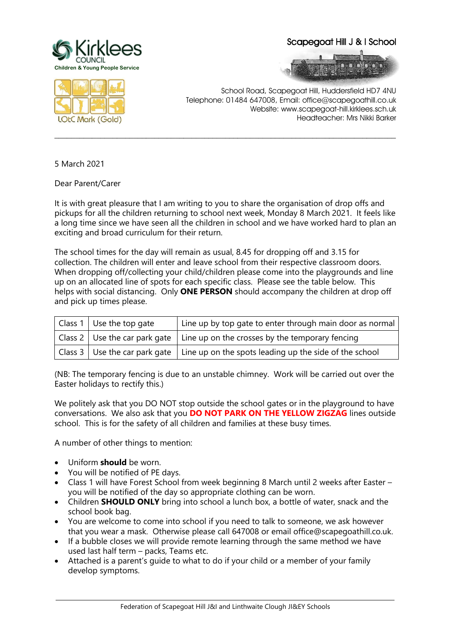

## Scapegoat Hill J & I School





School Road, Scapegoat Hill, Huddersfield HD7 4NU Telephone: 01484 647008, Email: office@scapegoathill.co.uk Website: www.scapegoat-hill.kirklees.sch.uk Headteacher: Mrs Nikki Barker

5 March 2021

Dear Parent/Carer

It is with great pleasure that I am writing to you to share the organisation of drop offs and pickups for all the children returning to school next week, Monday 8 March 2021. It feels like a long time since we have seen all the children in school and we have worked hard to plan an exciting and broad curriculum for their return.

**\_\_\_\_\_\_\_\_\_\_\_\_\_\_\_\_\_\_\_\_\_\_\_\_\_\_\_\_\_\_\_\_\_\_\_\_\_\_\_\_\_\_\_\_\_\_\_\_\_\_\_\_\_\_\_\_\_\_\_\_\_\_\_\_\_\_\_\_\_\_\_\_\_\_\_\_\_\_\_\_\_\_**

The school times for the day will remain as usual, 8.45 for dropping off and 3.15 for collection. The children will enter and leave school from their respective classroom doors. When dropping off/collecting your child/children please come into the playgrounds and line up on an allocated line of spots for each specific class. Please see the table below. This helps with social distancing. Only **ONE PERSON** should accompany the children at drop off and pick up times please.

| $ $ Class 1 Use the top gate | Line up by top gate to enter through main door as normal                                                     |
|------------------------------|--------------------------------------------------------------------------------------------------------------|
|                              | $\vert$ Class 2 $\vert$ Use the car park gate $\vert$ Line up on the crosses by the temporary fencing        |
|                              | $\vert$ Class 3 $\vert$ Use the car park gate $\vert$ Line up on the spots leading up the side of the school |

(NB: The temporary fencing is due to an unstable chimney. Work will be carried out over the Easter holidays to rectify this.)

We politely ask that you DO NOT stop outside the school gates or in the playground to have conversations. We also ask that you **DO NOT PARK ON THE YELLOW ZIGZAG** lines outside school. This is for the safety of all children and families at these busy times.

A number of other things to mention:

- Uniform **should** be worn.
- You will be notified of PE days.
- Class 1 will have Forest School from week beginning 8 March until 2 weeks after Easter you will be notified of the day so appropriate clothing can be worn.
- Children **SHOULD ONLY** bring into school a lunch box, a bottle of water, snack and the school book bag.
- You are welcome to come into school if you need to talk to someone, we ask however that you wear a mask. Otherwise please call 647008 or email office@scapegoathill.co.uk.
- If a bubble closes we will provide remote learning through the same method we have used last half term – packs, Teams etc.
- Attached is a parent's guide to what to do if your child or a member of your family develop symptoms.